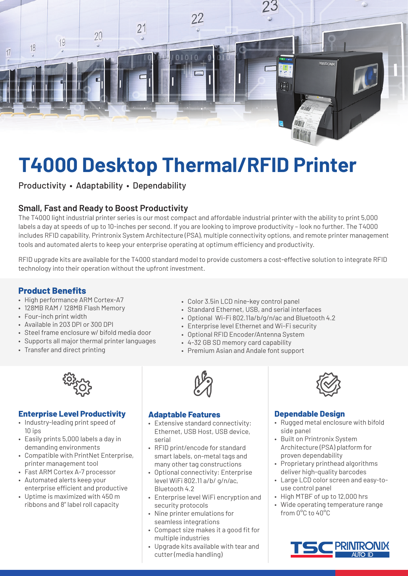

# **T4000 Desktop Thermal/RFID Printer**

Productivity • Adaptability • Dependability

# **Small, Fast and Ready to Boost Productivity**

The T4000 light industrial printer series is our most compact and affordable industrial printer with the ability to print 5,000 labels a day at speeds of up to 10-inches per second. If you are looking to improve productivity – look no further. The T4000 includes RFID capability, Printronix System Architecture (PSA), multiple connectivity options, and remote printer management tools and automated alerts to keep your enterprise operating at optimum efficiency and productivity.

RFID upgrade kits are available for the T4000 standard model to provide customers a cost-effective solution to integrate RFID technology into their operation without the upfront investment.

## **Product Benefits**

- High performance ARM Cortex-A7
- 128MB RAM / 128MB Flash Memory
- Four-inch print width
- Available in 203 DPI or 300 DPI
- Steel frame enclosure w/ bifold media door
- Supports all major thermal printer languages
- Transfer and direct printing



#### **Enterprise Level Productivity**

- Industry-leading print speed of 10 ips
- Easily prints 5,000 labels a day in demanding environments
- Compatible with PrintNet Enterprise, printer management tool
- Fast ARM Cortex A-7 processor
- Automated alerts keep your enterprise efficient and productive
- Uptime is maximized with 450 m ribbons and 8" label roll capacity
- Color 3.5in LCD nine-key control panel
- Standard Ethernet, USB, and serial interfaces
- Optional Wi-Fi 802.11a/b/g/n/ac and Bluetooth 4.2
- Enterprise level Ethernet and Wi-Fi security
- Optional RFID Encoder/Antenna System
- 4-32 GB SD memory card capability
- Premium Asian and Andale font support



#### **Adaptable Features**

- Extensive standard connectivity: Ethernet, USB Host, USB device, serial
- RFID print/encode for standard smart labels, on-metal tags and many other tag constructions
- Optional connectivity: Enterprise level WiFi 802.11 a/b/ g/n/ac, Bluetooth 4.2
- Enterprise level WiFi encryption and security protocols
- Nine printer emulations for seamless integrations
- Compact size makes it a good fit for multiple industries
- Upgrade kits available with tear and cutter (media handling)



#### **Dependable Design**

- Rugged metal enclosure with bifold side panel
- Built on Printronix System Architecture (PSA) platform for proven dependability
- Proprietary printhead algorithms deliver high-quality barcodes
- Large LCD color screen and easy-touse control panel
- High MTBF of up to 12,000 hrs
- Wide operating temperature range from 0°C to 40°C

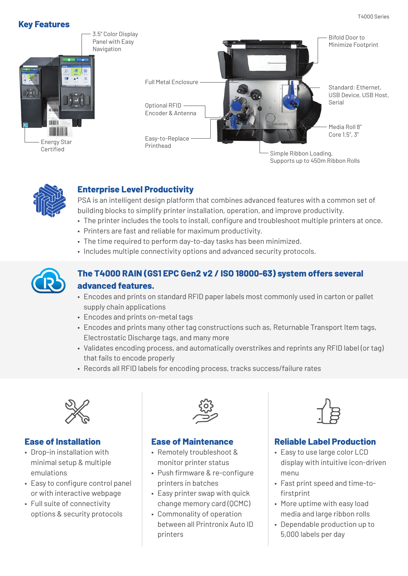



# **Enterprise Level Productivity**

PSA is an intelligent design platform that combines advanced features with a common set of building blocks to simplify printer installation, operation, and improve productivity.

- The printer includes the tools to install, configure and troubleshoot multiple printers at once.
- Printers are fast and reliable for maximum productivity.
- The time required to perform day-to-day tasks has been minimized.
- Includes multiple connectivity options and advanced security protocols.



# **The T4000 RAIN (GS1 EPC Gen2 v2 / ISO 18000-63) system offers several advanced features.**

- Encodes and prints on standard RFID paper labels most commonly used in carton or pallet supply chain applications
- Encodes and prints on-metal tags
- Encodes and prints many other tag constructions such as, Returnable Transport Item tags, Electrostatic Discharge tags, and many more
- Validates encoding process, and automatically overstrikes and reprints any RFID label (or tag) that fails to encode properly
- Records all RFID labels for encoding process, tracks success/failure rates



#### **Ease of Installation**

- Drop-in installation with minimal setup & multiple emulations
- Easy to configure control panel or with interactive webpage
- Full suite of connectivity options & security protocols



#### **Ease of Maintenance**

- Remotely troubleshoot & monitor printer status
- Push firmware & re-configure printers in batches
- Easy printer swap with quick change memory card (QCMC)
- Commonality of operation between all Printronix Auto ID printers



## **Reliable Label Production**

- Easy to use large color LCD display with intuitive icon-driven menu
- Fast print speed and time-tofirstprint
- More uptime with easy load media and large ribbon rolls
- Dependable production up to 5,000 labels per day